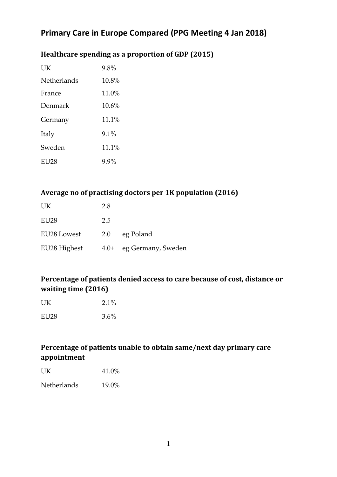## Healthcare spending as a proportion of GDP (2015)

| UK                 | 9.8%     |
|--------------------|----------|
| <b>Netherlands</b> | $10.8\%$ |
| France             | $11.0\%$ |
| Denmark            | $10.6\%$ |
| Germany            | 11.1%    |
| Italy              | $9.1\%$  |
| Sweden             | 11.1%    |
| EU28               | $9.9\%$  |

#### Average no of practising doctors per 1K population (2016)

| <b>UK</b>        | 2.8 |                         |
|------------------|-----|-------------------------|
| EU <sub>28</sub> | 2.5 |                         |
| EU28 Lowest      | 2.0 | eg Poland               |
| EU28 Highest     |     | 4.0+ eg Germany, Sweden |

## Percentage of patients denied access to care because of cost, distance or **waiting time (2016)**

| UK   | 2.1%    |
|------|---------|
| EU28 | $3.6\%$ |

#### Percentage of patients unable to obtain same/next day primary care **appointment**

| UK | 41.0% |
|----|-------|
|    |       |

Netherlands 19.0%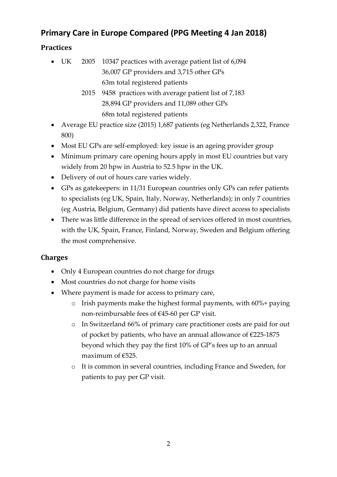## **Practices**

- UK 2005 10347 practices with average patient list of 6,094 36,007 GP providers and 3,715 other GPs 63m total registered patients
	- 2015 9458 practices with average patient list of 7,183 28,894 GP providers and 11,089 other GPs 68m total registered patients
- Average EU practice size (2015) 1,687 patients (eg Netherlands 2,322, France 800)
- Most EU GPs are self-employed: key issue is an ageing provider group
- Minimum primary care opening hours apply in most EU countries but vary widely from 20 hpw in Austria to 52.5 hpw in the UK.
- Delivery of out of hours care varies widely.
- GPs as gatekeepers: in 11/31 European countries only GPs can refer patients to specialists (eg UK, Spain, Italy, Norway, Netherlands); in only 7 countries (eg Austria, Belgium, Germany) did patients have direct access to specialists
- There was little difference in the spread of services offered in most countries, with the UK, Spain, France, Finland, Norway, Sweden and Belgium offering the most comprehensive.

## **Charges**

- Only 4 European countries do not charge for drugs
- Most countries do not charge for home visits
- Where payment is made for access to primary care,
	- $\circ$  Irish payments make the highest formal payments, with 60%+ paying non-reimbursable fees of €45-60 per GP visit.
	- o In Switzerland 66% of primary care practitioner costs are paid for out of pocket by patients, who have an annual allowance of  $\epsilon$ 225-1875 beyond which they pay the first 10% of GP's fees up to an annual maximum of €525.
	- o It is common in several countries, including France and Sweden, for patients to pay per GP visit.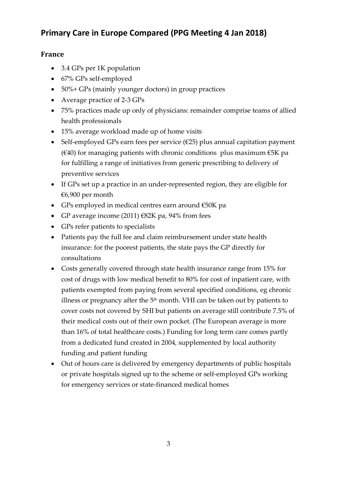#### **France**

- 3.4 GPs per 1K population
- 67% GPs self-employed
- 50%+ GPs (mainly younger doctors) in group practices
- Average practice of 2-3 GPs
- 75% practices made up only of physicians: remainder comprise teams of allied health professionals
- 15% average workload made up of home visits
- Self-employed GPs earn fees per service  $(E25)$  plus annual capitation payment ( $\epsilon$ 40) for managing patients with chronic conditions plus maximum  $\epsilon$ 5K pa for fulfilling a range of initiatives from generic prescribing to delivery of preventive services
- If GPs set up a practice in an under-represented region, they are eligible for €6,900 per month
- GPs employed in medical centres earn around €50K pa
- GP average income (2011)  $\epsilon$ 82K pa, 94% from fees
- GPs refer patients to specialists
- Patients pay the full fee and claim reimbursement under state health insurance: for the poorest patients, the state pays the GP directly for consultations
- Costs generally covered through state health insurance range from 15% for cost of drugs with low medical benefit to 80% for cost of inpatient care, with patients exempted from paying from several specified conditions, eg chronic illness or pregnancy after the  $5<sup>th</sup>$  month. VHI can be taken out by patients to cover costs not covered by SHI but patients on average still contribute 7.5% of their medical costs out of their own pocket. (The European average is more than 16% of total healthcare costs.) Funding for long term care comes partly from a dedicated fund created in 2004, supplemented by local authority funding and patient funding
- Out of hours care is delivered by emergency departments of public hospitals or private hospitals signed up to the scheme or self-employed GPs working for emergency services or state-financed medical homes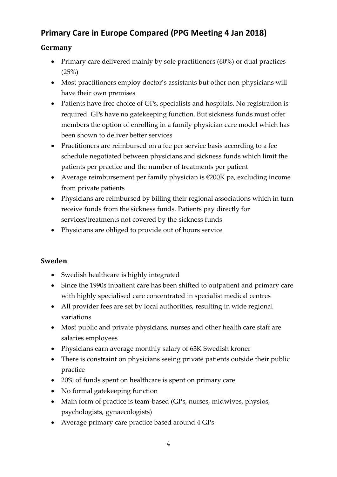## **Germany**

- Primary care delivered mainly by sole practitioners (60%) or dual practices  $(25%)$
- Most practitioners employ doctor's assistants but other non-physicians will have their own premises
- Patients have free choice of GPs, specialists and hospitals. No registration is required. GPs have no gatekeeping function. But sickness funds must offer members the option of enrolling in a family physician care model which has been shown to deliver better services
- Practitioners are reimbursed on a fee per service basis according to a fee schedule negotiated between physicians and sickness funds which limit the patients per practice and the number of treatments per patient
- Average reimbursement per family physician is €200K pa, excluding income from private patients
- Physicians are reimbursed by billing their regional associations which in turn receive funds from the sickness funds. Patients pay directly for services/treatments not covered by the sickness funds
- Physicians are obliged to provide out of hours service

## **Sweden**

- Swedish healthcare is highly integrated
- Since the 1990s inpatient care has been shifted to outpatient and primary care with highly specialised care concentrated in specialist medical centres
- All provider fees are set by local authorities, resulting in wide regional variations
- Most public and private physicians, nurses and other health care staff are salaries employees
- Physicians earn average monthly salary of 63K Swedish kroner
- There is constraint on physicians seeing private patients outside their public practice
- 20% of funds spent on healthcare is spent on primary care
- No formal gatekeeping function
- Main form of practice is team-based (GPs, nurses, midwives, physios, psychologists, gynaecologists)
- Average primary care practice based around 4 GPs